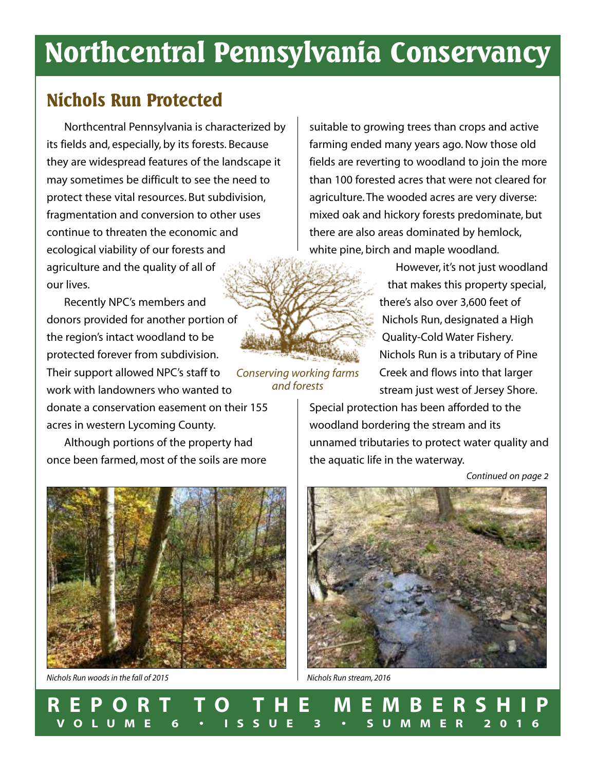# **Northcentral Pennsylvania Conservancy**

# **Nichols Run Protected**

Northcentral Pennsylvania is characterized by its fields and, especially, by its forests. Because they are widespread features of the landscape it may sometimes be difficult to see the need to protect these vital resources. But subdivision, fragmentation and conversion to other uses continue to threaten the economic and ecological viability of our forests and agriculture and the quality of all of our lives.

Recently NPC's members and donors provided for another portion of the region's intact woodland to be protected forever from subdivision. Their support allowed NPC's staff to work with landowners who wanted to donate a conservation easement on their 155 acres in western Lycoming County. *Conserving working farms*

Although portions of the property had once been farmed, most of the soils are more

suitable to growing trees than crops and active farming ended many years ago.Now those old fields are reverting to woodland to join the more than 100 forested acres that were not cleared for agriculture.The wooded acres are very diverse: mixed oak and hickory forests predominate, but there are also areas dominated by hemlock, white pine, birch and maple woodland.

> However, it's not just woodland that makes this property special, there's also over 3,600 feet of Nichols Run, designated a High Quality-Cold Water Fishery. Nichols Run is a tributary of Pine Creek and flows into that larger stream just west of Jersey Shore.

Special protection has been afforded to the woodland bordering the stream and its unnamed tributaries to protect water quality and the aquatic life in the waterway.

*Continued on page 2*



*Nichols Run woods in the fall of 2015*



*Nichols Run stream, 2016*

**R E P O R T T O T H E M E M B E R S H I P V O L U M E 6 • I S S U E 3 • S U M M E R 2 0 1 6**

*and forests*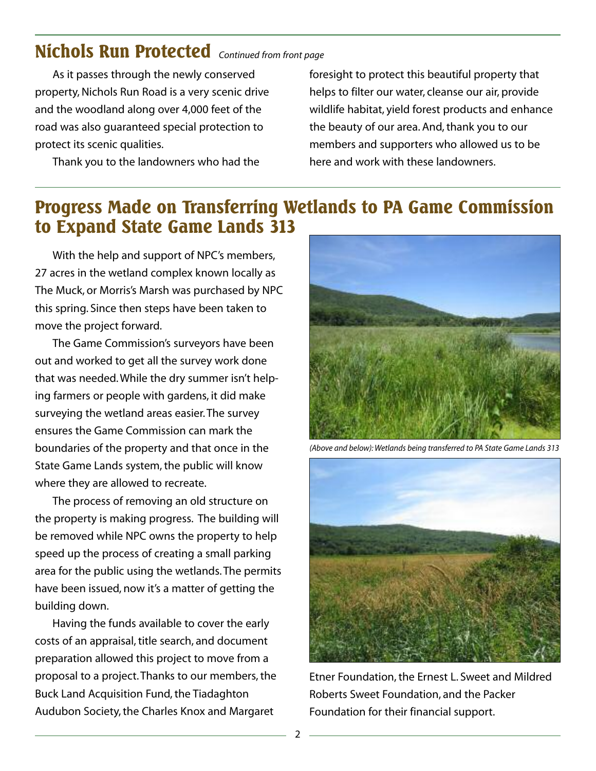## **Nichols Run Protected** *Continued from front page*

As it passes through the newly conserved property, Nichols Run Road is a very scenic drive and the woodland along over 4,000 feet of the road was also guaranteed special protection to protect its scenic qualities.

Thank you to the landowners who had the

foresight to protect this beautiful property that helps to filter our water, cleanse our air, provide wildlife habitat, yield forest products and enhance the beauty of our area. And, thank you to our members and supporters who allowed us to be here and work with these landowners.

### **Progress Made on Transferring Wetlands to PA Game Commission to Expand State Game Lands 313**

With the help and support of NPC's members, 27 acres in the wetland complex known locally as The Muck, or Morris's Marsh was purchased by NPC this spring. Since then steps have been taken to move the project forward.

The Game Commission's surveyors have been out and worked to get all the survey work done that was needed.While the dry summer isn't helping farmers or people with gardens, it did make surveying the wetland areas easier.The survey ensures the Game Commission can mark the boundaries of the property and that once in the State Game Lands system, the public will know where they are allowed to recreate.

The process of removing an old structure on the property is making progress. The building will be removed while NPC owns the property to help speed up the process of creating a small parking area for the public using the wetlands.The permits have been issued, now it's a matter of getting the building down.

Having the funds available to cover the early costs of an appraisal, title search, and document preparation allowed this project to move from a proposal to a project. Thanks to our members, the Buck Land Acquisition Fund, the Tiadaghton Audubon Society, the Charles Knox and Margaret



*(Above and below): Wetlands being transferred to PA State Game Lands 313*



Etner Foundation,the Ernest L. Sweet and Mildred Roberts Sweet Foundation, and the Packer Foundation for their financial support.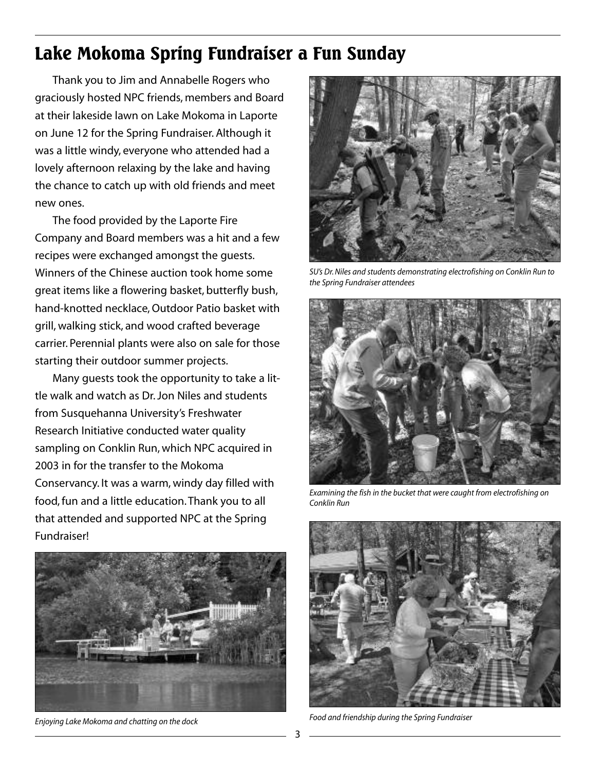# **Lake Mokoma Spring Fundraiser a Fun Sunday**

Thank you to Jim and Annabelle Rogers who graciously hosted NPC friends, members and Board at their lakeside lawn on Lake Mokoma in Laporte on June 12 for the Spring Fundraiser. Although it was a little windy, everyone who attended had a lovely afternoon relaxing by the lake and having the chance to catch up with old friends and meet new ones.

The food provided by the Laporte Fire Company and Board members was a hit and a few recipes were exchanged amongst the guests. Winners of the Chinese auction took home some great items like a flowering basket, butterfly bush, hand-knotted necklace,Outdoor Patio basket with grill, walking stick, and wood crafted beverage carrier. Perennial plants were also on sale for those starting their outdoor summer projects.

Many guests took the opportunity to take a little walk and watch as Dr.Jon Niles and students from Susquehanna University's Freshwater Research Initiative conducted water quality sampling on Conklin Run, which NPC acquired in 2003 in for the transfer to the Mokoma Conservancy. It was a warm, windy day filled with food, fun and a little education.Thank you to all that attended and supported NPC at the Spring Fundraiser!



*Enjoying Lake Mokoma and chatting on the dock*



*SU's Dr.Niles and students demonstrating electrofishing on Conklin Run to the Spring Fundraiser attendees*



*Examining the fish in the bucket that were caught from electrofishing on Conklin Run*



*Food and friendship during the Spring Fundraiser*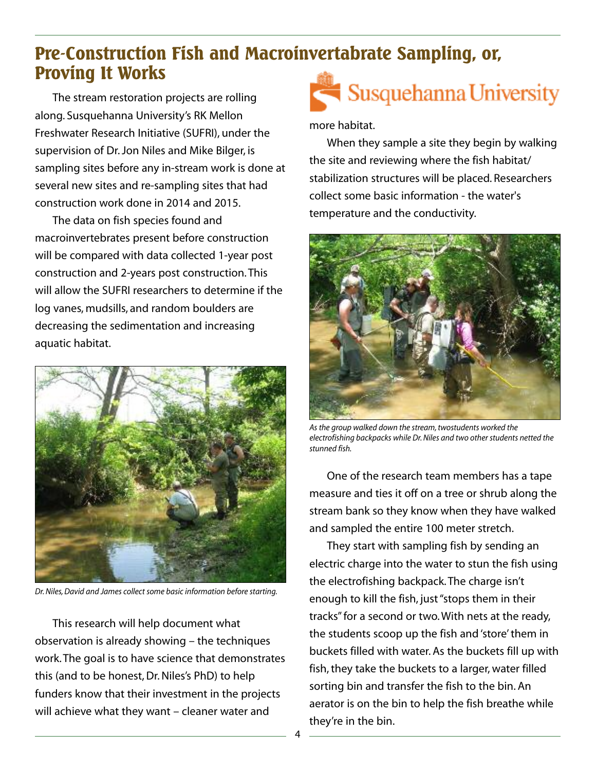# **Pre-Construction Fish and Macroinvertabrate Sampling, or, Proving It Works**

The stream restoration projects are rolling along. Susquehanna University's RK Mellon Freshwater Research Initiative (SUFRI), under the supervision of Dr.Jon Niles and Mike Bilger, is sampling sites before any in-stream work is done at several new sites and re-sampling sites that had construction work done in 2014 and 2015.

The data on fish species found and macroinvertebrates present before construction will be compared with data collected 1-year post construction and 2-years post construction.This will allow the SUFRI researchers to determine if the log vanes, mudsills, and random boulders are decreasing the sedimentation and increasing aquatic habitat.



*Dr.Niles,David and James collect some basic information before starting.*

This research will help document what observation is already showing – the techniques work.The goal is to have science that demonstrates this (and to be honest,Dr.Niles's PhD) to help funders know that their investment in the projects will achieve what they want – cleaner water and



### more habitat.

When they sample a site they begin by walking the site and reviewing where the fish habitat/ stabilization structures will be placed. Researchers collect some basic information - the water's temperature and the conductivity.



*As the group walked down the stream,twostudents worked the electrofishing backpacks while Dr.Niles and two other students netted the stunned fish.*

One of the research team members has a tape measure and ties it off on a tree or shrub along the stream bank so they know when they have walked and sampled the entire 100 meter stretch.

They start with sampling fish by sending an electric charge into the water to stun the fish using the electrofishing backpack.The charge isn't enough to kill the fish, just"stops them in their tracks"for a second or two.With nets at the ready, the students scoop up the fish and 'store'them in buckets filled with water. As the buckets fill up with fish, they take the buckets to a larger, water filled sorting bin and transfer the fish to the bin. An aerator is on the bin to help the fish breathe while they're in the bin.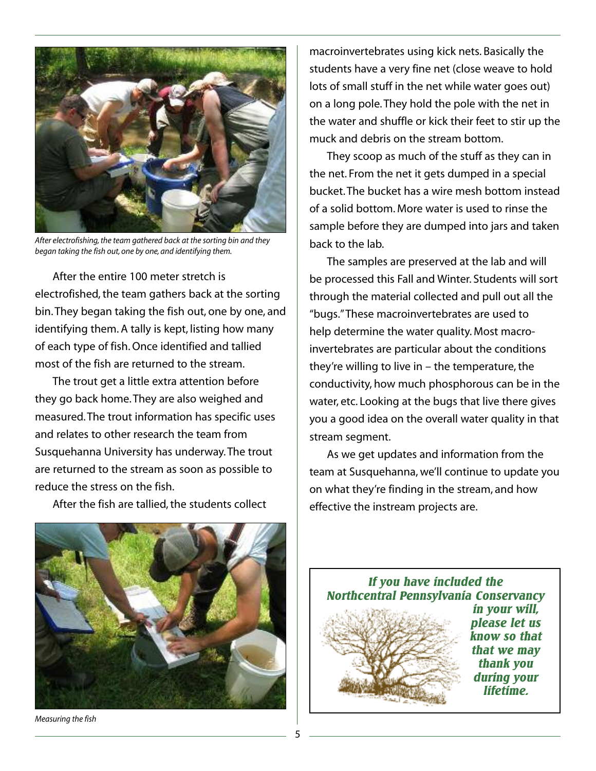

*After electrofishing,the team gathered back at the sorting bin and they began taking the fish out, one by one, and identifying them.*

After the entire 100 meter stretch is electrofished, the team gathers back at the sorting bin.They began taking the fish out, one by one, and identifying them. A tally is kept, listing how many of each type of fish.Once identified and tallied most of the fish are returned to the stream.

The trout get a little extra attention before they go back home.They are also weighed and measured.The trout information has specific uses and relates to other research the team from Susquehanna University has underway.The trout are returned to the stream as soon as possible to reduce the stress on the fish.

After the fish are tallied, the students collect

macroinvertebrates using kick nets. Basically the students have a very fine net (close weave to hold lots of small stuff in the net while water goes out) on a long pole.They hold the pole with the net in the water and shuffle or kick their feet to stir up the muck and debris on the stream bottom.

They scoop as much of the stuff as they can in the net. From the net it gets dumped in a special bucket.The bucket has a wire mesh bottom instead of a solid bottom. More water is used to rinse the sample before they are dumped into jars and taken back to the lab.

The samples are preserved at the lab and will be processed this Fall and Winter. Students will sort through the material collected and pull out all the "bugs."These macroinvertebrates are used to help determine the water quality. Most macroinvertebrates are particular about the conditions they're willing to live in  $-$  the temperature, the conductivity, how much phosphorous can be in the water, etc. Looking at the bugs that live there gives you a good idea on the overall water quality in that stream segment.

As we get updates and information from the team at Susquehanna, we'll continue to update you on what they're finding in the stream, and how effective the instream projects are.



*Measuring the fish*

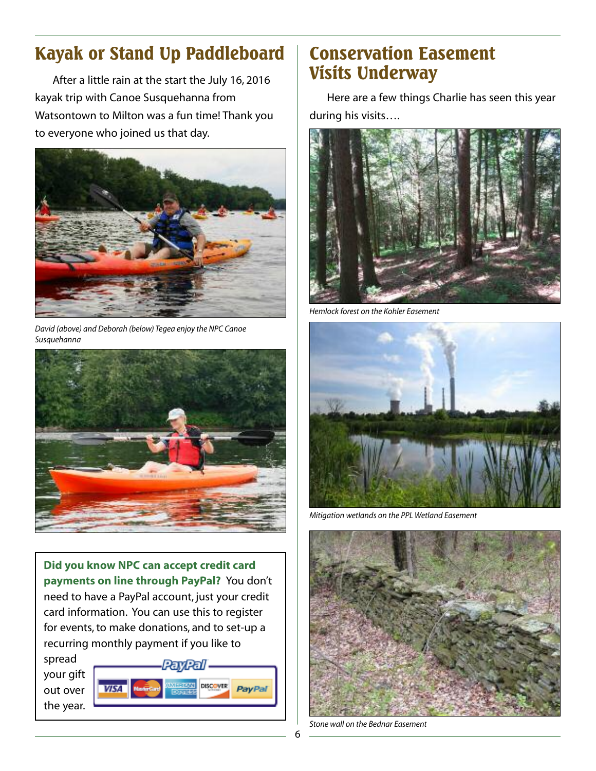# **Kayak or Stand Up Paddleboard**

After a little rain at the start the July 16, 2016 kayak trip with Canoe Susquehanna from Watsontown to Milton was a fun time! Thank you to everyone who joined us that day.



*David (above) and Deborah (below) Tegea enjoy the NPC Canoe Susquehanna*



**Did you know NPC can accept credit card payments on line through PayPal?** You don't need to have a PayPal account, just your credit card information. You can use this to register for events, to make donations, and to set-up a recurring monthly payment if you like to

spread your gift out over the year.



# **Conservation Easement Visits Underway**

Here are a few things Charlie has seen this year during his visits….



*Hemlock forest on the Kohler Easement*



*Mitigation wetlands on the PPL Wetland Easement*



*Stone wall on the Bednar Easement*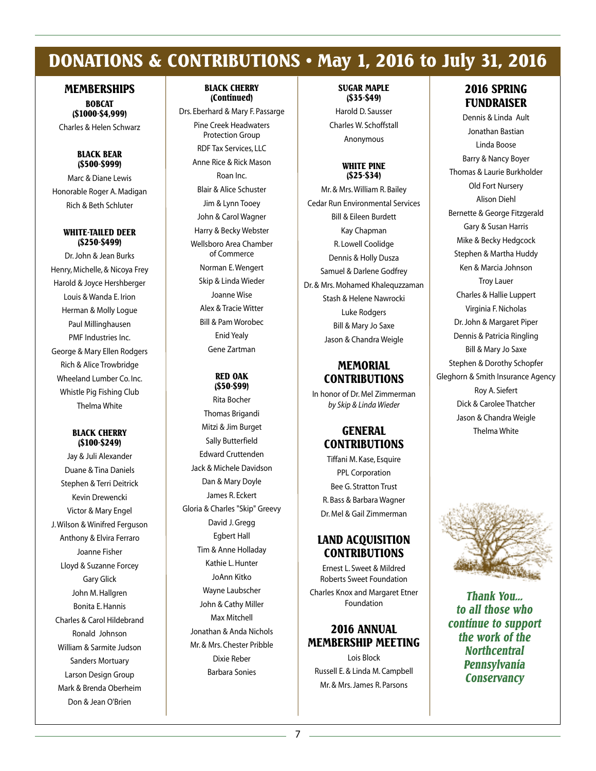# **DONATIONS & CONTRIBUTIONS • May 1, 2016 to July 31, 2016**

#### **MEMBERSHIPS**

**BOBCAT (\$1000-\$4,999)**

Charles & Helen Schwarz

#### **BLACK BEAR (\$500-\$999)**

Marc & Diane Lewis Honorable Roger A. Madigan Rich & Beth Schluter

#### **WHITE-TAILED DEER (\$250-\$499)**

Dr.John & Jean Burks Henry, Michelle, & Nicoya Frey Harold & Joyce Hershberger Louis & Wanda E. Irion Herman & Molly Logue Paul Millinghausen PMF Industries Inc. George & Mary Ellen Rodgers Rich & Alice Trowbridge Wheeland Lumber Co. Inc. Whistle Pig Fishing Club Thelma White

#### **BLACK CHERRY (\$100-\$249)**

Jay & Juli Alexander Duane & Tina Daniels Stephen & Terri Deitrick Kevin Drewencki Victor & Mary Engel J.Wilson & Winifred Ferguson Anthony & Elvira Ferraro Joanne Fisher Lloyd & Suzanne Forcey Gary Glick John M.Hallgren Bonita E.Hannis Charles & Carol Hildebrand Ronald Johnson William & Sarmite Judson Sanders Mortuary Larson Design Group Mark & Brenda Oberheim Don & Jean O'Brien

#### **BLACK CHERRY (Continued)**

Drs. Eberhard & Mary F. Passarge Pine Creek Headwaters Protection Group RDF Tax Services, LLC Anne Rice & Rick Mason Roan Inc. Blair & Alice Schuster Jim & Lynn Tooey John & Carol Wagner Harry & Becky Webster Wellsboro Area Chamber of Commerce Norman E.Wengert Skip & Linda Wieder Joanne Wise Alex & Tracie Witter Bill & Pam Worobec Enid Yealy Gene Zartman

#### **RED OAK (\$50-\$99)**

Rita Bocher Thomas Brigandi Mitzi & Jim Burget Sally Butterfield Edward Cruttenden Jack & Michele Davidson Dan & Mary Doyle James R. Eckert Gloria & Charles "Skip" Greevy David J.Gregg Egbert Hall Tim & Anne Holladay Kathie L.Hunter JoAnn Kitko Wayne Laubscher John & Cathy Miller Max Mitchell Jonathan & Anda Nichols Mr. & Mrs. Chester Pribble Dixie Reber Barbara Sonies

#### **SUGAR MAPLE (\$35-\$49)**

Harold D. Sausser Charles W. Schoffstall Anonymous

#### **WHITE PINE (\$25-\$34)**

Mr. & Mrs.William R. Bailey Cedar Run Environmental Services Bill & Eileen Burdett Kay Chapman R. Lowell Coolidge Dennis & Holly Dusza Samuel & Darlene Godfrey Dr. & Mrs. Mohamed Khalequzzaman Stash & Helene Nawrocki Luke Rodgers Bill & Mary Jo Saxe Jason & Chandra Weigle

### **MEMORIAL CONTRIBUTIONS**

In honor of Dr. Mel Zimmerman *by Skip & Linda Wieder*

### **GENERAL CONTRIBUTIONS**

Tiffani M. Kase, Esquire PPL Corporation Bee G. Stratton Trust R. Bass & Barbara Wagner Dr. Mel & Gail Zimmerman

### **LAND ACQUISITION CONTRIBUTIONS**

Ernest L. Sweet & Mildred Roberts Sweet Foundation Charles Knox and Margaret Etner Foundation

### **2016 ANNUAL MEMBERSHIP MEETING**

Lois Block Russell E. & Linda M. Campbell Mr. & Mrs.James R. Parsons

### **2016 SPRING FUNDRAISER**

Dennis & Linda Ault Jonathan Bastian Linda Boose Barry & Nancy Boyer Thomas & Laurie Burkholder Old Fort Nursery Alison Diehl Bernette & George Fitzgerald Gary & Susan Harris Mike & Becky Hedgcock Stephen & Martha Huddy Ken & Marcia Johnson Troy Lauer Charles & Hallie Luppert Virginia F.Nicholas Dr.John & Margaret Piper Dennis & Patricia Ringling Bill & Mary Jo Saxe Stephen & Dorothy Schopfer Gleghorn & Smith Insurance Agency Roy A. Siefert Dick & Carolee Thatcher Jason & Chandra Weigle Thelma White



*Thank You... to all those who continue to support the work of the Northcentral Pennsylvania Conservancy*